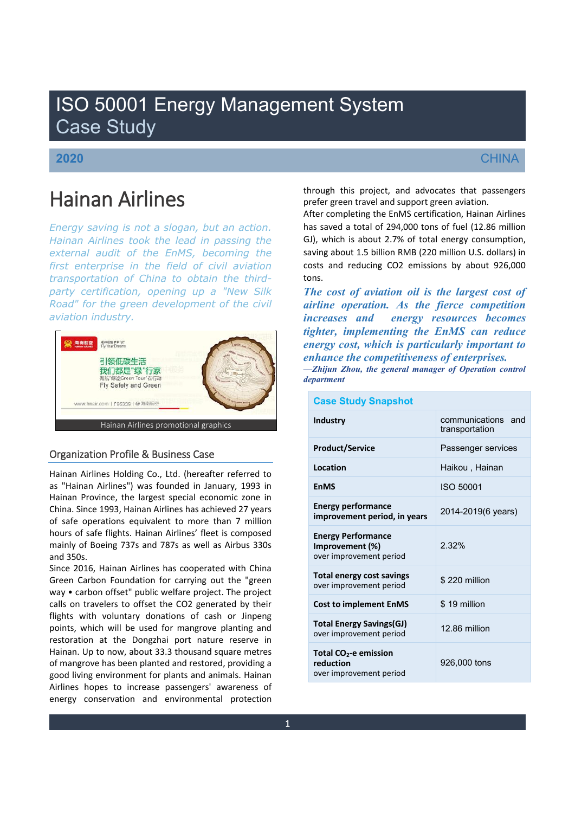# ISO 50001 Energy Management System Case Study

## **2020**

# **CHINA**

# Hainan Airlines

*Energy saving is not a slogan, but an action. Hainan Airlines took the lead in passing the external audit of the EnMS, becoming the first enterprise in the field of civil aviation transportation of China to obtain the thirdparty certification, opening up a "New Silk Road" for the green development of the civil aviation industry.*



### Organization Profile & Business Case

Hainan Airlines Holding Co., Ltd. (hereafter referred to as "Hainan Airlines") was founded in January, 1993 in Hainan Province, the largest special economic zone in China. Since 1993, Hainan Airlines has achieved 27 years of safe operations equivalent to more than 7 million hours of safe flights. Hainan Airlines' fleet is composed mainly of Boeing 737s and 787s as well as Airbus 330s and 350s.

Since 2016, Hainan Airlines has cooperated with China Green Carbon Foundation for carrying out the "green way • carbon offset" public welfare project. The project calls on travelers to offset the CO2 generated by their flights with voluntary donations of cash or Jinpeng points, which will be used for mangrove planting and restoration at the Dongzhai port nature reserve in Hainan. Up to now, about 33.3 thousand square metres of mangrove has been planted and restored, providing a good living environment for plants and animals. Hainan Airlines hopes to increase passengers' awareness of energy conservation and environmental protection through this project, and advocates that passengers prefer green travel and support green aviation.

After completing the EnMS certification, Hainan Airlines has saved a total of 294,000 tons of fuel (12.86 million GJ), which is about 2.7% of total energy consumption, saving about 1.5 billion RMB (220 million U.S. dollars) in costs and reducing CO2 emissions by about 926,000 tons.

*The cost of aviation oil is the largest cost of airline operation. As the fierce competition increases and energy resources becomes tighter, implementing the EnMS can reduce energy cost, which is particularly important to enhance the competitiveness of enterprises. ²Zhijun Zhou, the general manager of Operation control department*

| <b>Industry</b>                                                           | communications and<br>transportation |
|---------------------------------------------------------------------------|--------------------------------------|
| <b>Product/Service</b>                                                    | Passenger services                   |
| Location                                                                  | Haikou, Hainan                       |
| <b>EnMS</b>                                                               | ISO 50001                            |
| <b>Energy performance</b><br>improvement period, in years                 | 2014-2019(6 years)                   |
| <b>Energy Performance</b><br>Improvement (%)<br>over improvement period   | 2.32%                                |
| <b>Total energy cost savings</b><br>over improvement period               | \$220 million                        |
| <b>Cost to implement EnMS</b>                                             | \$19 million                         |
| <b>Total Energy Savings(GJ)</b><br>over improvement period                | 12.86 million                        |
| Total CO <sub>2</sub> -e emission<br>reduction<br>over improvement period | 926,000 tons                         |

### **Case Study Snapshot**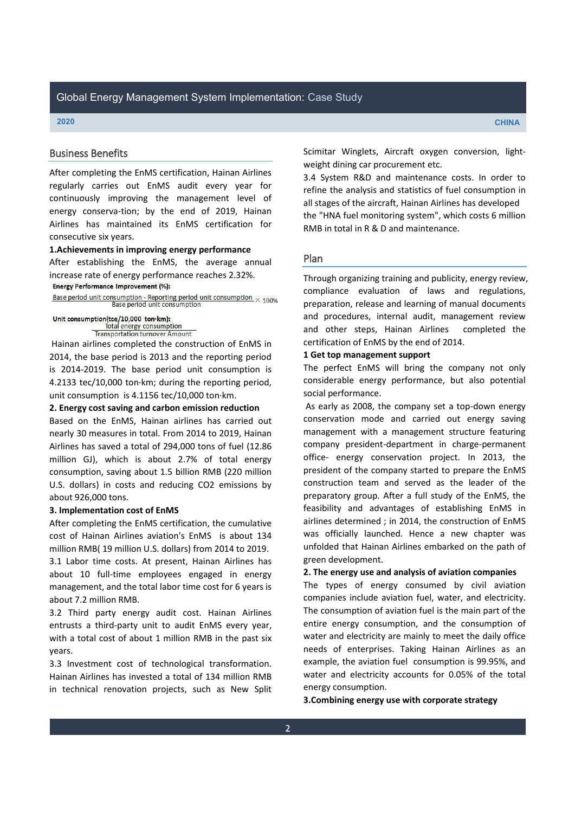#### Business Benefits

After completing the EnMS certification, Hainan Airlines regularly carries out EnMS audit every year for continuously improving the management level of energy conserva-tion; by the end of 2019, Hainan Airlines has maintained its EnMS certification for consecutive six years.

#### **1.Achievements in improving energy performance**

After establishing the EnMS, the average annual increase rate of energy performance reaches 2.32%. **Energy Performance Improvement (%):** 

Base period unit consumption - Reporting period unit consumption  $\times$  100% Base period unit consumption

#### Unit consumption(tce/10,000 ton·km): Total energy consumption

**Transportation turnover Amount** 

Hainan airlines completed the construction of EnMS in 2014, the base period is 2013 and the reporting period is 2014-2019. The base period unit consumption is 4.2133 tec/10,000 ton·km; during the reporting period, unit consumption is 4.1156 tec/10,000 ton·km.

#### **2. Energy cost saving and carbon emission reduction**

Based on the EnMS, Hainan airlines has carried out nearly 30 measures in total. From 2014 to 2019, Hainan Airlines has saved a total of 294,000 tons of fuel (12.86 million GJ), which is about 2.7% of total energy consumption, saving about 1.5 billion RMB (220 million U.S. dollars) in costs and reducing CO2 emissions by about 926,000 tons.

#### **3. Implementation cost of EnMS**

After completing the EnMS certification, the cumulative cost of Hainan Airlines aviation's EnMS is about 134 million RMB( 19 million U.S. dollars) from 2014 to 2019.

3.1 Labor time costs. At present, Hainan Airlines has about 10 full-time employees engaged in energy management, and the total labor time cost for 6 years is about 7.2 million RMB.

3.2 Third party energy audit cost. Hainan Airlines entrusts a third-party unit to audit EnMS every year, with a total cost of about 1 million RMB in the past six years.

3.3 Investment cost of technological transformation. Hainan Airlines has invested a total of 134 million RMB in technical renovation projects, such as New Split Scimitar Winglets, Aircraft oxygen conversion, lightweight dining car procurement etc.

3.4 System R&D and maintenance costs. In order to refine the analysis and statistics of fuel consumption in all stages of the aircraft, Hainan Airlines has developed the "HNA fuel monitoring system", which costs 6 million RMB in total in R & D and maintenance.

#### Plan

Through organizing training and publicity, energy review, compliance evaluation of laws and regulations, preparation, release and learning of manual documents and procedures, internal audit, management review and other steps, Hainan Airlines completed the certification of EnMS by the end of 2014.

### **1 Get top management support**

The perfect EnMS will bring the company not only considerable energy performance, but also potential social performance.

As early as 2008, the company set a top-down energy conservation mode and carried out energy saving management with a management structure featuring company president-department in charge-permanent office- energy conservation project. In 2013, the president of the company started to prepare the EnMS construction team and served as the leader of the preparatory group. After a full study of the EnMS, the feasibility and advantages of establishing EnMS in airlines determined ; in 2014, the construction of EnMS was officially launched. Hence a new chapter was unfolded that Hainan Airlines embarked on the path of green development.

#### **2. The energy use and analysis of aviation companies**

The types of energy consumed by civil aviation companies include aviation fuel, water, and electricity. The consumption of aviation fuel is the main part of the entire energy consumption, and the consumption of water and electricity are mainly to meet the daily office needs of enterprises. Taking Hainan Airlines as an example, the aviation fuel consumption is 99.95%, and water and electricity accounts for 0.05% of the total energy consumption.

**3.Combining energy use with corporate strategy**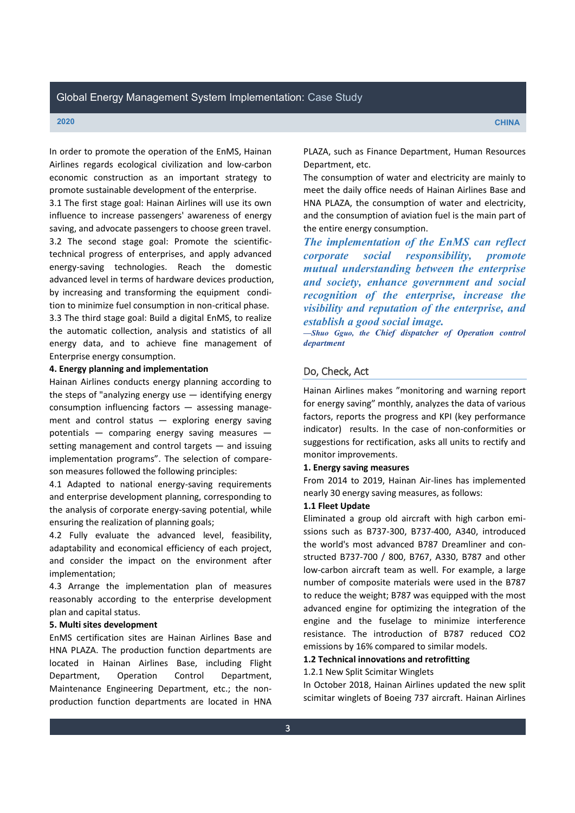In order to promote the operation of the EnMS, Hainan Airlines regards ecological civilization and low-carbon economic construction as an important strategy to promote sustainable development of the enterprise.

3.1 The first stage goal: Hainan Airlines will use its own influence to increase passengers' awareness of energy saving, and advocate passengers to choose green travel. 3.2 The second stage goal: Promote the scientifictechnical progress of enterprises, and apply advanced energy-saving technologies. Reach the domestic advanced level in terms of hardware devices production, by increasing and transforming the equipment condition to minimize fuel consumption in non-critical phase.

3.3 The third stage goal: Build a digital EnMS, to realize the automatic collection, analysis and statistics of all energy data, and to achieve fine management of Enterprise energy consumption.

#### **4. Energy planning and implementation**

Hainan Airlines conducts energy planning according to the steps of "analyzing energy use  $-$  identifying energy consumption influencing factors - assessing management and control status  $-$  exploring energy saving potentials – comparing energy saving measures setting management and control targets  $-$  and issuing implementation programs". The selection of compareson measures followed the following principles:

4.1 Adapted to national energy-saving requirements and enterprise development planning, corresponding to the analysis of corporate energy-saving potential, while ensuring the realization of planning goals;

4.2 Fully evaluate the advanced level, feasibility, adaptability and economical efficiency of each project, and consider the impact on the environment after implementation;

4.3 Arrange the implementation plan of measures reasonably according to the enterprise development plan and capital status.

#### **5. Multi sites development**

EnMS certification sites are Hainan Airlines Base and HNA PLAZA. The production function departments are located in Hainan Airlines Base, including Flight Department, Operation Control Department, Maintenance Engineering Department, etc.; the nonproduction function departments are located in HNA PLAZA, such as Finance Department, Human Resources Department, etc.

The consumption of water and electricity are mainly to meet the daily office needs of Hainan Airlines Base and HNA PLAZA, the consumption of water and electricity, and the consumption of aviation fuel is the main part of the entire energy consumption.

*The implementation of the EnMS can reflect corporate social responsibility, promote mutual understanding between the enterprise and society, enhance government and social recognition of the enterprise, increase the visibility and reputation of the enterprise, and establish a good social image.*

 $-$ Shuo Gguo, the Chief dispatcher of Operation control *department*

### Do, Check, Act

Hainan Airlines makes "monitoring and warning report for energy saving" monthly, analyzes the data of various factors, reports the progress and KPI (key performance indicator) results. In the case of non-conformities or suggestions for rectification, asks all units to rectify and monitor improvements.

#### **1. Energy saving measures**

From 2014 to 2019, Hainan Air-lines has implemented nearly 30 energy saving measures, as follows:

#### **1.1 Fleet Update**

Eliminated a group old aircraft with high carbon emissions such as B737-300, B737-400, A340, introduced the world's most advanced B787 Dreamliner and constructed B737-700 / 800, B767, A330, B787 and other low-carbon aircraft team as well. For example, a large number of composite materials were used in the B787 to reduce the weight; B787 was equipped with the most advanced engine for optimizing the integration of the engine and the fuselage to minimize interference resistance. The introduction of B787 reduced CO2 emissions by 16% compared to similar models.

### **1.2 Technical innovations and retrofitting**

#### 1.2.1 New Split Scimitar Winglets

In October 2018, Hainan Airlines updated the new split scimitar winglets of Boeing 737 aircraft. Hainan Airlines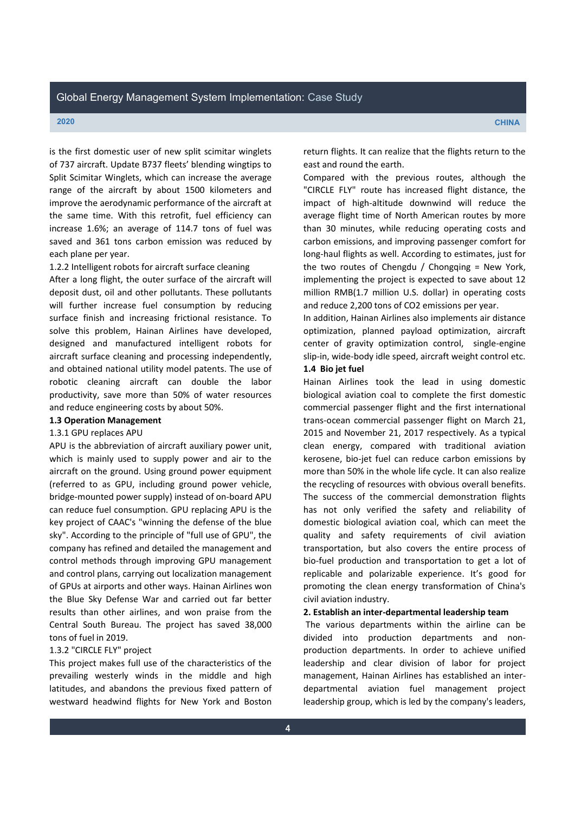is the first domestic user of new split scimitar winglets of 737 aircraft. Update B737 fleets' blending wingtips to Split Scimitar Winglets, which can increase the average range of the aircraft by about 1500 kilometers and improve the aerodynamic performance of the aircraft at the same time. With this retrofit, fuel efficiency can increase 1.6%; an average of 114.7 tons of fuel was saved and 361 tons carbon emission was reduced by each plane per year.

#### 1.2.2 Intelligent robots for aircraft surface cleaning

After a long flight, the outer surface of the aircraft will deposit dust, oil and other pollutants. These pollutants will further increase fuel consumption by reducing surface finish and increasing frictional resistance. To solve this problem, Hainan Airlines have developed, designed and manufactured intelligent robots for aircraft surface cleaning and processing independently, and obtained national utility model patents. The use of robotic cleaning aircraft can double the labor productivity, save more than 50% of water resources and reduce engineering costs by about 50%.

# **1.3 Operation Management**

## 1.3.1 GPU replaces APU

APU is the abbreviation of aircraft auxiliary power unit, which is mainly used to supply power and air to the aircraft on the ground. Using ground power equipment (referred to as GPU, including ground power vehicle, bridge-mounted power supply) instead of on-board APU can reduce fuel consumption. GPU replacing APU is the key project of CAAC's "winning the defense of the blue sky". According to the principle of "full use of GPU", the company has refined and detailed the management and control methods through improving GPU management and control plans, carrying out localization management of GPUs at airports and other ways. Hainan Airlines won the Blue Sky Defense War and carried out far better results than other airlines, and won praise from the Central South Bureau. The project has saved 38,000 tons of fuel in 2019.

#### 1.3.2 "CIRCLE FLY" project

This project makes full use of the characteristics of the prevailing westerly winds in the middle and high latitudes, and abandons the previous fixed pattern of westward headwind flights for New York and Boston

return flights. It can realize that the flights return to the east and round the earth.

Compared with the previous routes, although the "CIRCLE FLY" route has increased flight distance, the impact of high-altitude downwind will reduce the average flight time of North American routes by more than 30 minutes, while reducing operating costs and carbon emissions, and improving passenger comfort for long-haul flights as well. According to estimates, just for the two routes of Chengdu / Chongqing = New York, implementing the project is expected to save about 12 million RMB(1.7 million U.S. dollar) in operating costs and reduce 2,200 tons of CO2 emissions per year.

In addition, Hainan Airlines also implements air distance optimization, planned payload optimization, aircraft center of gravity optimization control, single-engine slip-in, wide-body idle speed, aircraft weight control etc. **1.4 Bio jet fuel**

Hainan Airlines took the lead in using domestic biological aviation coal to complete the first domestic commercial passenger flight and the first international trans-ocean commercial passenger flight on March 21, 2015 and November 21, 2017 respectively. As a typical clean energy, compared with traditional aviation kerosene, bio-jet fuel can reduce carbon emissions by more than 50% in the whole life cycle. It can also realize the recycling of resources with obvious overall benefits. The success of the commercial demonstration flights has not only verified the safety and reliability of domestic biological aviation coal, which can meet the quality and safety requirements of civil aviation transportation, but also covers the entire process of bio-fuel production and transportation to get a lot of replicable and polarizable experience. It's good for promoting the clean energy transformation of China's civil aviation industry.

#### **2. Establish an inter-departmental leadership team**

The various departments within the airline can be divided into production departments and nonproduction departments. In order to achieve unified leadership and clear division of labor for project management, Hainan Airlines has established an interdepartmental aviation fuel management project leadership group, which is led by the company's leaders,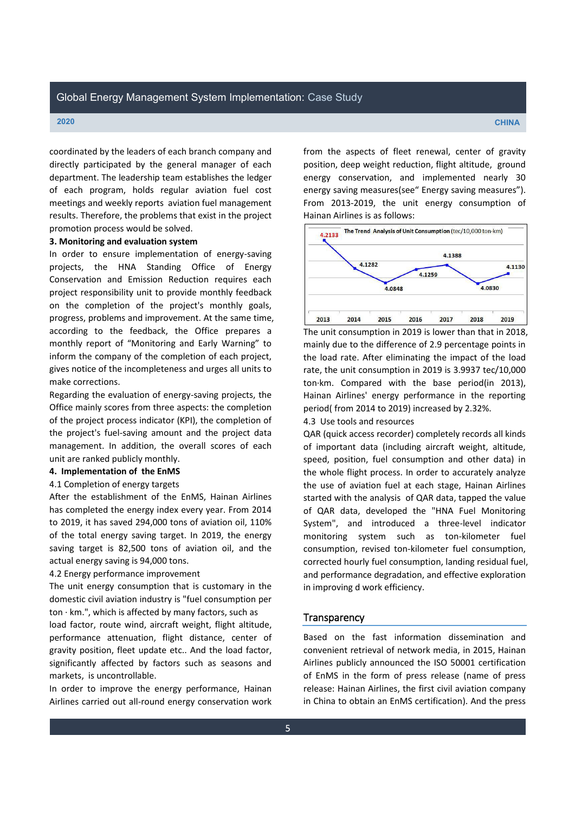coordinated by the leaders of each branch company and directly participated by the general manager of each department. The leadership team establishes the ledger of each program, holds regular aviation fuel cost meetings and weekly reports aviation fuel management results. Therefore, the problems that exist in the project promotion process would be solved.

#### **3. Monitoring and evaluation system**

In order to ensure implementation of energy-saving projects, the HNA Standing Office of Energy Conservation and Emission Reduction requires each project responsibility unit to provide monthly feedback on the completion of the project's monthly goals, progress, problems and improvement. At the same time, according to the feedback, the Office prepares a monthly report of "Monitoring and Early Warning" to inform the company of the completion of each project, gives notice of the incompleteness and urges all units to make corrections.

Regarding the evaluation of energy-saving projects, the Office mainly scores from three aspects: the completion of the project process indicator (KPI), the completion of the project's fuel-saving amount and the project data management. In addition, the overall scores of each unit are ranked publicly monthly.

#### **4. Implementation of the EnMS**

#### 4.1 Completion of energy targets

After the establishment of the EnMS, Hainan Airlines has completed the energy index every year. From 2014 to 2019, it has saved 294,000 tons of aviation oil, 110% of the total energy saving target. In 2019, the energy saving target is 82,500 tons of aviation oil, and the actual energy saving is 94,000 tons.

#### 4.2 Energy performance improvement

The unit energy consumption that is customary in the domestic civil aviation industry is "fuel consumption per ton  $\cdot$  km.", which is affected by many factors, such as

load factor, route wind, aircraft weight, flight altitude, performance attenuation, flight distance, center of gravity position, fleet update etc.. And the load factor, significantly affected by factors such as seasons and markets, is uncontrollable.

In order to improve the energy performance, Hainan Airlines carried out all-round energy conservation work from the aspects of fleet renewal, center of gravity position, deep weight reduction, flight altitude, ground energy conservation, and implemented nearly 30 energy saving measures(see" Energy saving measures"). From 2013-2019, the unit energy consumption of Hainan Airlines is as follows:



The unit consumption in 2019 is lower than that in 2018, mainly due to the difference of 2.9 percentage points in the load rate. After eliminating the impact of the load rate, the unit consumption in 2019 is 3.9937 tec/10,000 ton·km. Compared with the base period(in 2013), Hainan Airlines' energy performance in the reporting period( from 2014 to 2019) increased by 2.32%.

4.3 Use tools and resources

QAR (quick access recorder) completely records all kinds of important data (including aircraft weight, altitude, speed, position, fuel consumption and other data) in the whole flight process. In order to accurately analyze the use of aviation fuel at each stage, Hainan Airlines started with the analysis of QAR data, tapped the value of QAR data, developed the "HNA Fuel Monitoring System", and introduced a three-level indicator monitoring system such as ton-kilometer fuel consumption, revised ton-kilometer fuel consumption, corrected hourly fuel consumption, landing residual fuel, and performance degradation, and effective exploration in improving d work efficiency.

#### **Transparency**

Based on the fast information dissemination and convenient retrieval of network media, in 2015, Hainan Airlines publicly announced the ISO 50001 certification of EnMS in the form of press release (name of press release: Hainan Airlines, the first civil aviation company in China to obtain an EnMS certification). And the press